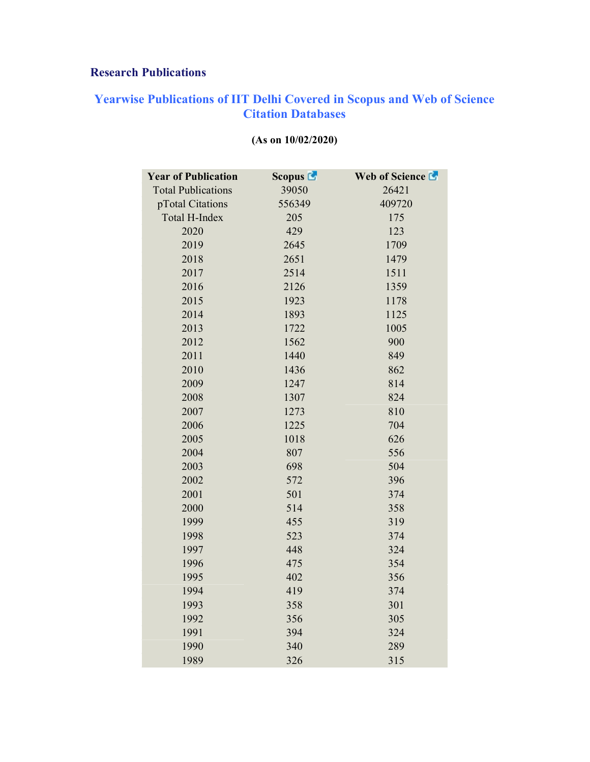## Research Publications

## Yearwise Publications of IIT Delhi Covered in Scopus and Web of Science Citation Databases

| <b>Year of Publication</b> | Scopus $\blacksquare$ | Web of Science |
|----------------------------|-----------------------|----------------|
| <b>Total Publications</b>  | 39050                 | 26421          |
| pTotal Citations           | 556349                | 409720         |
| Total H-Index              | 205                   | 175            |
| 2020                       | 429                   | 123            |
| 2019                       | 2645                  | 1709           |
| 2018                       | 2651                  | 1479           |
| 2017                       | 2514                  | 1511           |
| 2016                       | 2126                  | 1359           |
| 2015                       | 1923                  | 1178           |
| 2014                       | 1893                  | 1125           |
| 2013                       | 1722                  | 1005           |
| 2012                       | 1562                  | 900            |
| 2011                       | 1440                  | 849            |
| 2010                       | 1436                  | 862            |
| 2009                       | 1247                  | 814            |
| 2008                       | 1307                  | 824            |
| 2007                       | 1273                  | 810            |
| 2006                       | 1225                  | 704            |
| 2005                       | 1018                  | 626            |
| 2004                       | 807                   | 556            |
| 2003                       | 698                   | 504            |
| 2002                       | 572                   | 396            |
| 2001                       | 501                   | 374            |
| 2000                       | 514                   | 358            |
| 1999                       | 455                   | 319            |
| 1998                       | 523                   | 374            |
| 1997                       | 448                   | 324            |
| 1996                       | 475                   | 354            |
| 1995                       | 402                   | 356            |
| 1994                       | 419                   | 374            |
| 1993                       | 358                   | 301            |
| 1992                       | 356                   | 305            |
| 1991                       | 394                   | 324            |
| 1990                       | 340                   | 289            |
| 1989                       | 326                   | 315            |

## (As on 10/02/2020)